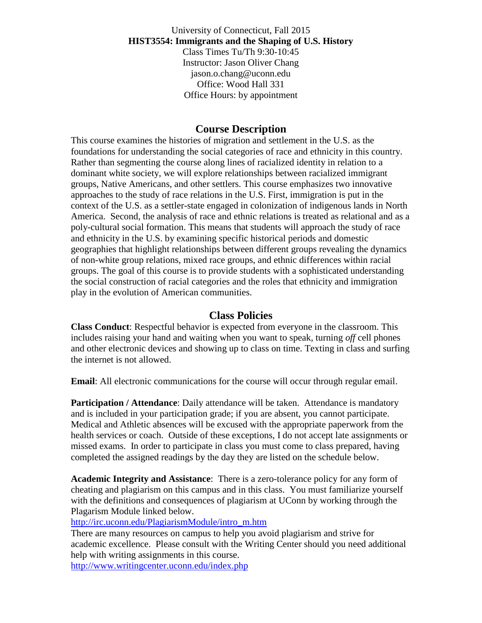University of Connecticut, Fall 2015 **HIST3554: Immigrants and the Shaping of U.S. History** Class Times Tu/Th 9:30-10:45 Instructor: Jason Oliver Chang jason.o.chang@uconn.edu Office: Wood Hall 331 Office Hours: by appointment

## **Course Description**

This course examines the histories of migration and settlement in the U.S. as the foundations for understanding the social categories of race and ethnicity in this country. Rather than segmenting the course along lines of racialized identity in relation to a dominant white society, we will explore relationships between racialized immigrant groups, Native Americans, and other settlers. This course emphasizes two innovative approaches to the study of race relations in the U.S. First, immigration is put in the context of the U.S. as a settler-state engaged in colonization of indigenous lands in North America. Second, the analysis of race and ethnic relations is treated as relational and as a poly-cultural social formation. This means that students will approach the study of race and ethnicity in the U.S. by examining specific historical periods and domestic geographies that highlight relationships between different groups revealing the dynamics of non-white group relations, mixed race groups, and ethnic differences within racial groups. The goal of this course is to provide students with a sophisticated understanding the social construction of racial categories and the roles that ethnicity and immigration play in the evolution of American communities.

## **Class Policies**

**Class Conduct**: Respectful behavior is expected from everyone in the classroom. This includes raising your hand and waiting when you want to speak, turning *off* cell phones and other electronic devices and showing up to class on time. Texting in class and surfing the internet is not allowed.

**Email:** All electronic communications for the course will occur through regular email.

**Participation / Attendance**: Daily attendance will be taken. Attendance is mandatory and is included in your participation grade; if you are absent, you cannot participate. Medical and Athletic absences will be excused with the appropriate paperwork from the health services or coach. Outside of these exceptions, I do not accept late assignments or missed exams. In order to participate in class you must come to class prepared, having completed the assigned readings by the day they are listed on the schedule below.

**Academic Integrity and Assistance**: There is a zero-tolerance policy for any form of cheating and plagiarism on this campus and in this class. You must familiarize yourself with the definitions and consequences of plagiarism at UConn by working through the Plagarism Module linked below.

[http://irc.uconn.edu/PlagiarismModule/intro\\_m.htm](http://irc.uconn.edu/PlagiarismModule/intro_m.htm)

There are many resources on campus to help you avoid plagiarism and strive for academic excellence. Please consult with the Writing Center should you need additional help with writing assignments in this course.

<http://www.writingcenter.uconn.edu/index.php>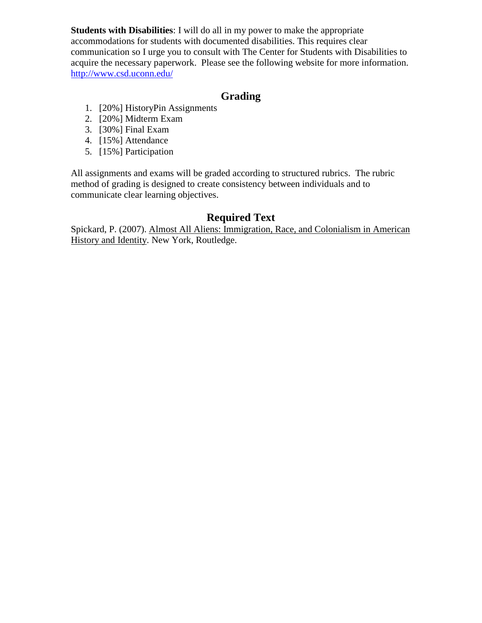**Students with Disabilities**: I will do all in my power to make the appropriate accommodations for students with documented disabilities. This requires clear communication so I urge you to consult with The Center for Students with Disabilities to acquire the necessary paperwork. Please see the following website for more information. <http://www.csd.uconn.edu/>

## **Grading**

- 1. [20%] HistoryPin Assignments
- 2. [20%] Midterm Exam
- 3. [30%] Final Exam
- 4. [15%] Attendance
- 5. [15%] Participation

All assignments and exams will be graded according to structured rubrics. The rubric method of grading is designed to create consistency between individuals and to communicate clear learning objectives.

## **Required Text**

Spickard, P. (2007). Almost All Aliens: Immigration, Race, and Colonialism in American History and Identity. New York, Routledge.